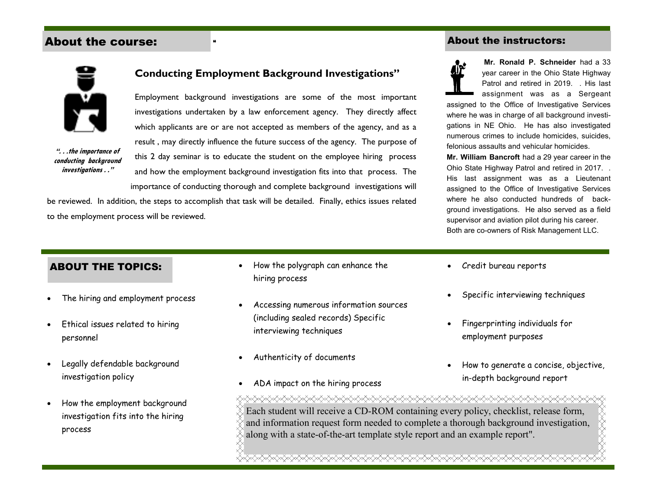## About the course:

#### About the instructors:



**". . .the importance of conducting background investigations . ."** 

## **Conducting Employment Background Investigations"**

Employment background investigations are some of the most important investigations undertaken by a law enforcement agency. They directly affect which applicants are or are not accepted as members of the agency, and as a result , may directly influence the future success of the agency. The purpose of this 2 day seminar is to educate the student on the employee hiring process and how the employment background investigation fits into that process. The importance of conducting thorough and complete background investigations will

be reviewed. In addition, the steps to accomplish that task will be detailed. Finally, ethics issues related to the employment process will be reviewed.



 **Mr. Ronald P. Schneider** had a 33 year career in the Ohio State Highway Patrol and retired in 2019. . His last assignment was as a Sergeant

assigned to the Office of Investigative Services where he was in charge of all background investigations in NE Ohio. He has also investigated numerous crimes to include homicides, suicides, felonious assaults and vehicular homicides.

**Mr. William Bancroft** had a 29 year career in the Ohio State Highway Patrol and retired in 2017. . His last assignment was as a Lieutenant assigned to the Office of Investigative Services where he also conducted hundreds of background investigations. He also served as a field supervisor and aviation pilot during his career. Both are co-owners of Risk Management LLC.

### ABOUT THE TOPICS:

- $\bullet$ The hiring and employment process
- $\bullet$  Ethical issues related to hiring personnel
- e Legally defendable background investigation policy
- c How the employment background investigation fits into the hiring process
- $\bullet$  How the polygraph can enhance the hiring process
- $\bullet$  Accessing numerous information sources (including sealed records) Specific interviewing techniques
- $\bullet$ Authenticity of documents
- $\bullet$ ADA impact on the hiring process
- . Credit bureau reports
- . Specific interviewing techniques
- . Fingerprinting individuals for employment purposes
- . How to generate a concise, objective, in-depth background report

<del></del> Each student will receive a CD-ROM containing every policy, checklist, release form, **XXXXX** and information request form needed to complete a thorough background investigation, along with a state-of-the-art template style report and an example report".